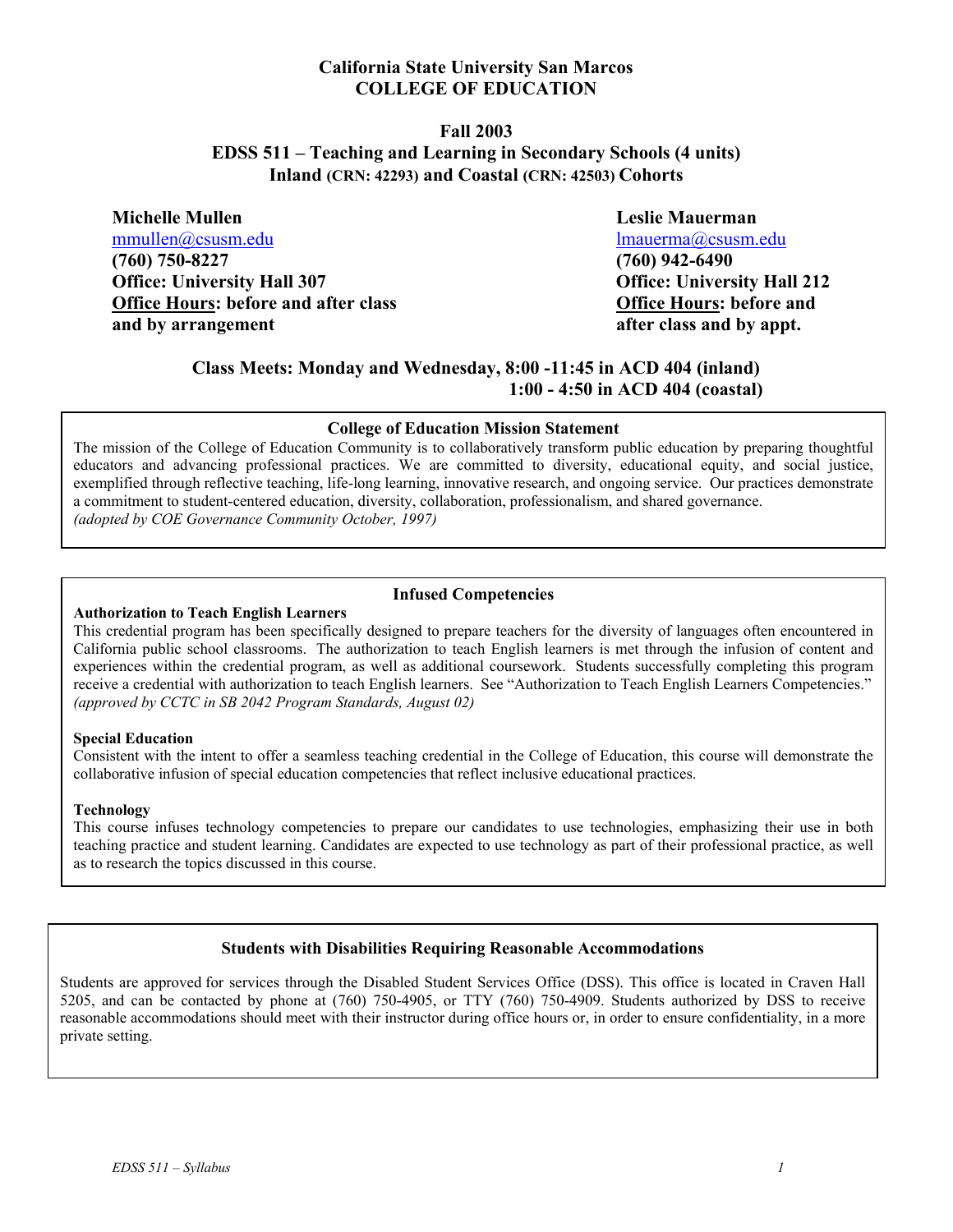#### **California State University San Marcos COLLEGE OF EDUCATION**

#### **Fall 2003 EDSS 511 – Teaching and Learning in Secondary Schools (4 units) Inland (CRN: 42293) and Coastal (CRN: 42503) Cohorts**

**Michelle Mullen Leslie Mauerman**  mmullen@csusm.edu lmauerma@csusm.edu **(760) 750-8227 (760) 942-6490 Office: University Hall 307 Office: University Hall 212 Office Hours: before and after class Office Hours: before and**  and by arrangement and by appt.

## **Class Meets: Monday and Wednesday, 8:00 -11:45 in ACD 404 (inland) 1:00 - 4:50 in ACD 404 (coastal)**

#### **College of Education Mission Statement**

The mission of the College of Education Community is to collaboratively transform public education by preparing thoughtful educators and advancing professional practices. We are committed to diversity, educational equity, and social justice, exemplified through reflective teaching, life-long learning, innovative research, and ongoing service. Our practices demonstrate a commitment to student-centered education, diversity, collaboration, professionalism, and shared governance. *(adopted by COE Governance Community October, 1997)*

#### **Infused Competencies**

#### **Authorization to Teach English Learners**

This credential program has been specifically designed to prepare teachers for the diversity of languages often encountered in California public school classrooms. The authorization to teach English learners is met through the infusion of content and experiences within the credential program, as well as additional coursework. Students successfully completing this program receive a credential with authorization to teach English learners. See "Authorization to Teach English Learners Competencies." *(approved by CCTC in SB 2042 Program Standards, August 02)* 

#### **Special Education**

Consistent with the intent to offer a seamless teaching credential in the College of Education, this course will demonstrate the collaborative infusion of special education competencies that reflect inclusive educational practices.

#### **Technology**

This course infuses technology competencies to prepare our candidates to use technologies, emphasizing their use in both teaching practice and student learning. Candidates are expected to use technology as part of their professional practice, as well as to research the topics discussed in this course.

#### **Students with Disabilities Requiring Reasonable Accommodations**

Students are approved for services through the Disabled Student Services Office (DSS). This office is located in Craven Hall 5205, and can be contacted by phone at (760) 750-4905, or TTY (760) 750-4909. Students authorized by DSS to receive reasonable accommodations should meet with their instructor during office hours or, in order to ensure confidentiality, in a more private setting.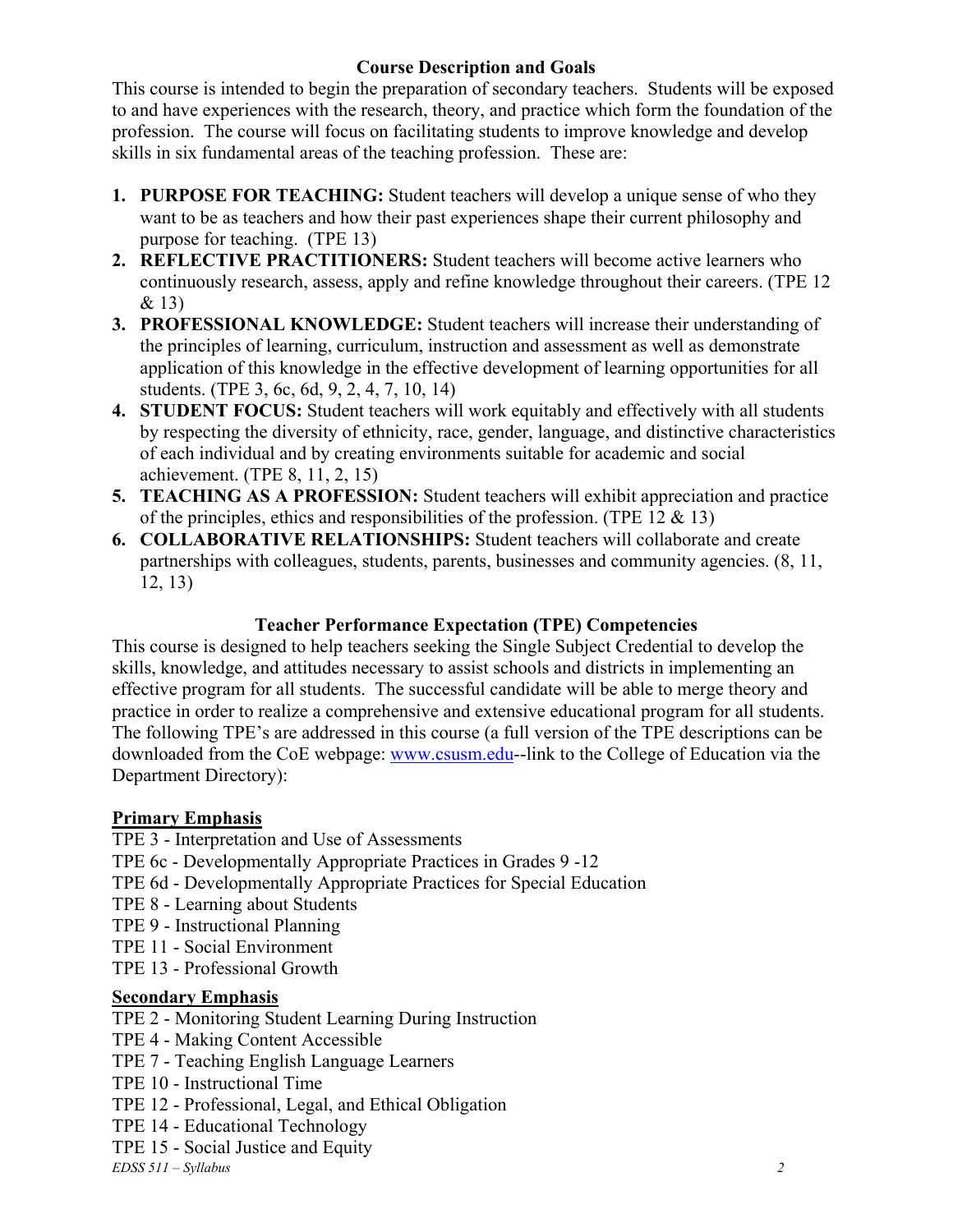# **Course Description and Goals**

This course is intended to begin the preparation of secondary teachers. Students will be exposed to and have experiences with the research, theory, and practice which form the foundation of the profession. The course will focus on facilitating students to improve knowledge and develop skills in six fundamental areas of the teaching profession. These are:

- **1. PURPOSE FOR TEACHING:** Student teachers will develop a unique sense of who they want to be as teachers and how their past experiences shape their current philosophy and purpose for teaching. (TPE 13)
- **2. REFLECTIVE PRACTITIONERS:** Student teachers will become active learners who continuously research, assess, apply and refine knowledge throughout their careers. (TPE 12 & 13)
- **3. PROFESSIONAL KNOWLEDGE:** Student teachers will increase their understanding of the principles of learning, curriculum, instruction and assessment as well as demonstrate application of this knowledge in the effective development of learning opportunities for all students. (TPE 3, 6c, 6d, 9, 2, 4, 7, 10, 14)
- **4. STUDENT FOCUS:** Student teachers will work equitably and effectively with all students by respecting the diversity of ethnicity, race, gender, language, and distinctive characteristics of each individual and by creating environments suitable for academic and social achievement. (TPE 8, 11, 2, 15)
- **5. TEACHING AS A PROFESSION:** Student teachers will exhibit appreciation and practice of the principles, ethics and responsibilities of the profession. (TPE 12  $&$  13)
- **6. COLLABORATIVE RELATIONSHIPS:** Student teachers will collaborate and create partnerships with colleagues, students, parents, businesses and community agencies. (8, 11, 12, 13)

# **Teacher Performance Expectation (TPE) Competencies**

This course is designed to help teachers seeking the Single Subject Credential to develop the skills, knowledge, and attitudes necessary to assist schools and districts in implementing an effective program for all students. The successful candidate will be able to merge theory and practice in order to realize a comprehensive and extensive educational program for all students. The following TPE's are addressed in this course (a full version of the TPE descriptions can be downloaded from the CoE webpage: www.csusm.edu--link to the College of Education via the Department Directory):

# **Primary Emphasis**

TPE 3 - Interpretation and Use of Assessments

- TPE 6c Developmentally Appropriate Practices in Grades 9 -12
- TPE 6d Developmentally Appropriate Practices for Special Education
- TPE 8 Learning about Students
- TPE 9 Instructional Planning
- TPE 11 Social Environment
- TPE 13 Professional Growth

# **Secondary Emphasis**

TPE 2 - Monitoring Student Learning During Instruction

- TPE 4 Making Content Accessible
- TPE 7 Teaching English Language Learners
- TPE 10 Instructional Time
- TPE 12 Professional, Legal, and Ethical Obligation
- TPE 14 Educational Technology
- TPE 15 Social Justice and Equity

*EDSS 511 – Syllabus 2*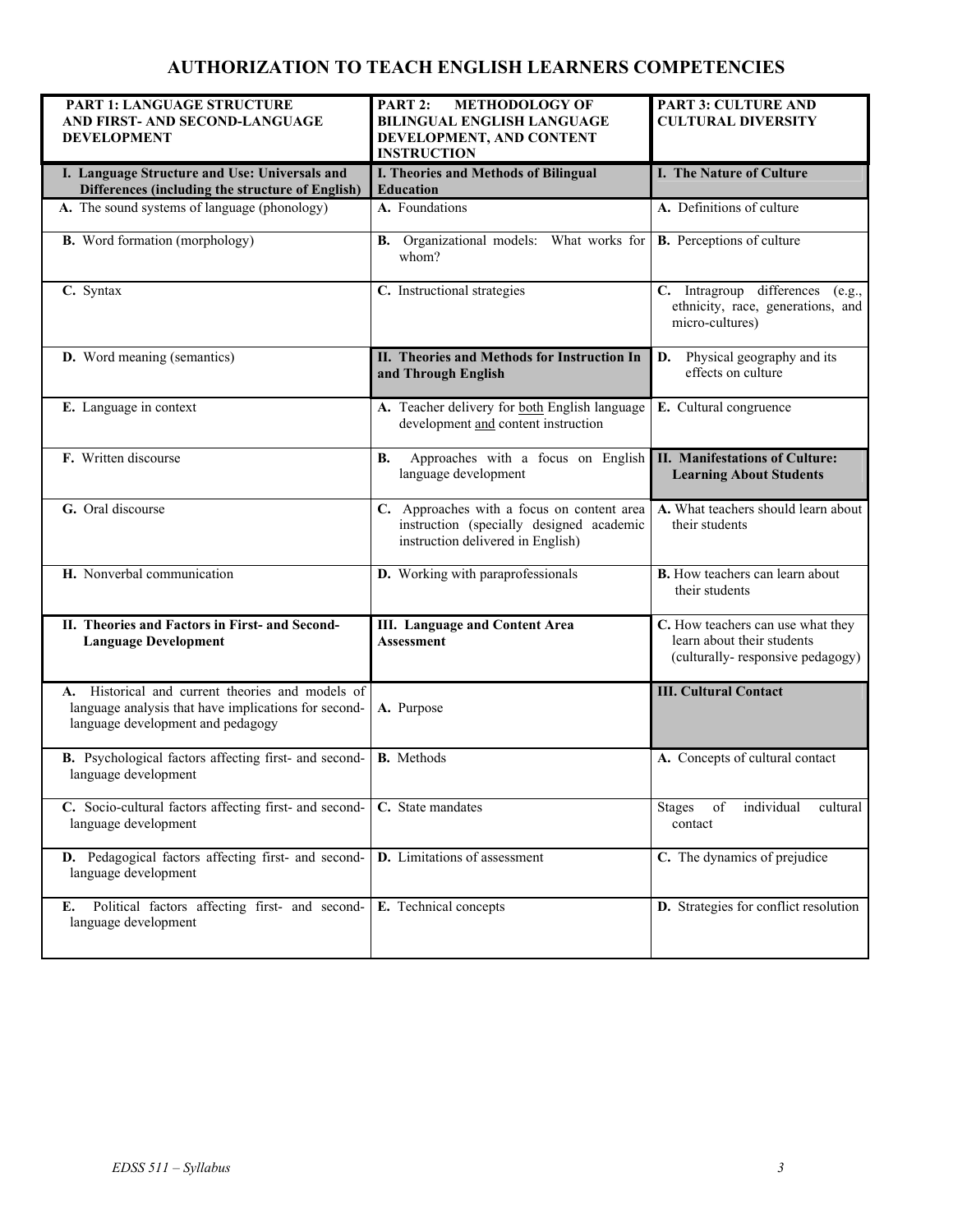# **AUTHORIZATION TO TEACH ENGLISH LEARNERS COMPETENCIES**

| PART 1: LANGUAGE STRUCTURE<br>AND FIRST- AND SECOND-LANGUAGE<br><b>DEVELOPMENT</b>                                                            | PART 2:<br><b>METHODOLOGY OF</b><br><b>BILINGUAL ENGLISH LANGUAGE</b><br>DEVELOPMENT, AND CONTENT                           | <b>PART 3: CULTURE AND</b><br><b>CULTURAL DIVERSITY</b>                                             |
|-----------------------------------------------------------------------------------------------------------------------------------------------|-----------------------------------------------------------------------------------------------------------------------------|-----------------------------------------------------------------------------------------------------|
|                                                                                                                                               | <b>INSTRUCTION</b>                                                                                                          |                                                                                                     |
| I. Language Structure and Use: Universals and<br>Differences (including the structure of English)                                             | I. Theories and Methods of Bilingual<br><b>Education</b>                                                                    | I. The Nature of Culture                                                                            |
| A. The sound systems of language (phonology)                                                                                                  | A. Foundations                                                                                                              | A. Definitions of culture                                                                           |
| <b>B.</b> Word formation (morphology)                                                                                                         | B. Organizational models: What works for<br>whom?                                                                           | <b>B.</b> Perceptions of culture                                                                    |
| C. Syntax                                                                                                                                     | C. Instructional strategies                                                                                                 | C. Intragroup differences (e.g.,<br>ethnicity, race, generations, and<br>micro-cultures)            |
| <b>D.</b> Word meaning (semantics)                                                                                                            | II. Theories and Methods for Instruction In<br>and Through English                                                          | Physical geography and its<br>D.<br>effects on culture                                              |
| E. Language in context                                                                                                                        | A. Teacher delivery for both English language<br>development and content instruction                                        | E. Cultural congruence                                                                              |
| F. Written discourse                                                                                                                          | Approaches with a focus on English<br>В.<br>language development                                                            | <b>II. Manifestations of Culture:</b><br><b>Learning About Students</b>                             |
| G. Oral discourse                                                                                                                             | C. Approaches with a focus on content area<br>instruction (specially designed academic<br>instruction delivered in English) | A. What teachers should learn about<br>their students                                               |
| H. Nonverbal communication                                                                                                                    | D. Working with paraprofessionals                                                                                           | <b>B.</b> How teachers can learn about<br>their students                                            |
| II. Theories and Factors in First- and Second-<br><b>Language Development</b>                                                                 | <b>III.</b> Language and Content Area<br><b>Assessment</b>                                                                  | C. How teachers can use what they<br>learn about their students<br>(culturally-responsive pedagogy) |
| A. Historical and current theories and models of<br>language analysis that have implications for second-<br>language development and pedagogy | A. Purpose                                                                                                                  | <b>III. Cultural Contact</b>                                                                        |
| B. Psychological factors affecting first- and second-<br>language development                                                                 | <b>B.</b> Methods                                                                                                           | A. Concepts of cultural contact                                                                     |
| C. Socio-cultural factors affecting first- and second-<br>language development                                                                | C. State mandates                                                                                                           | individual<br>of<br>cultural<br><b>Stages</b><br>contact                                            |
| D. Pedagogical factors affecting first- and second-<br>language development                                                                   | D. Limitations of assessment                                                                                                | C. The dynamics of prejudice                                                                        |
| Political factors affecting first- and second-<br>Е.<br>language development                                                                  | E. Technical concepts                                                                                                       | D. Strategies for conflict resolution                                                               |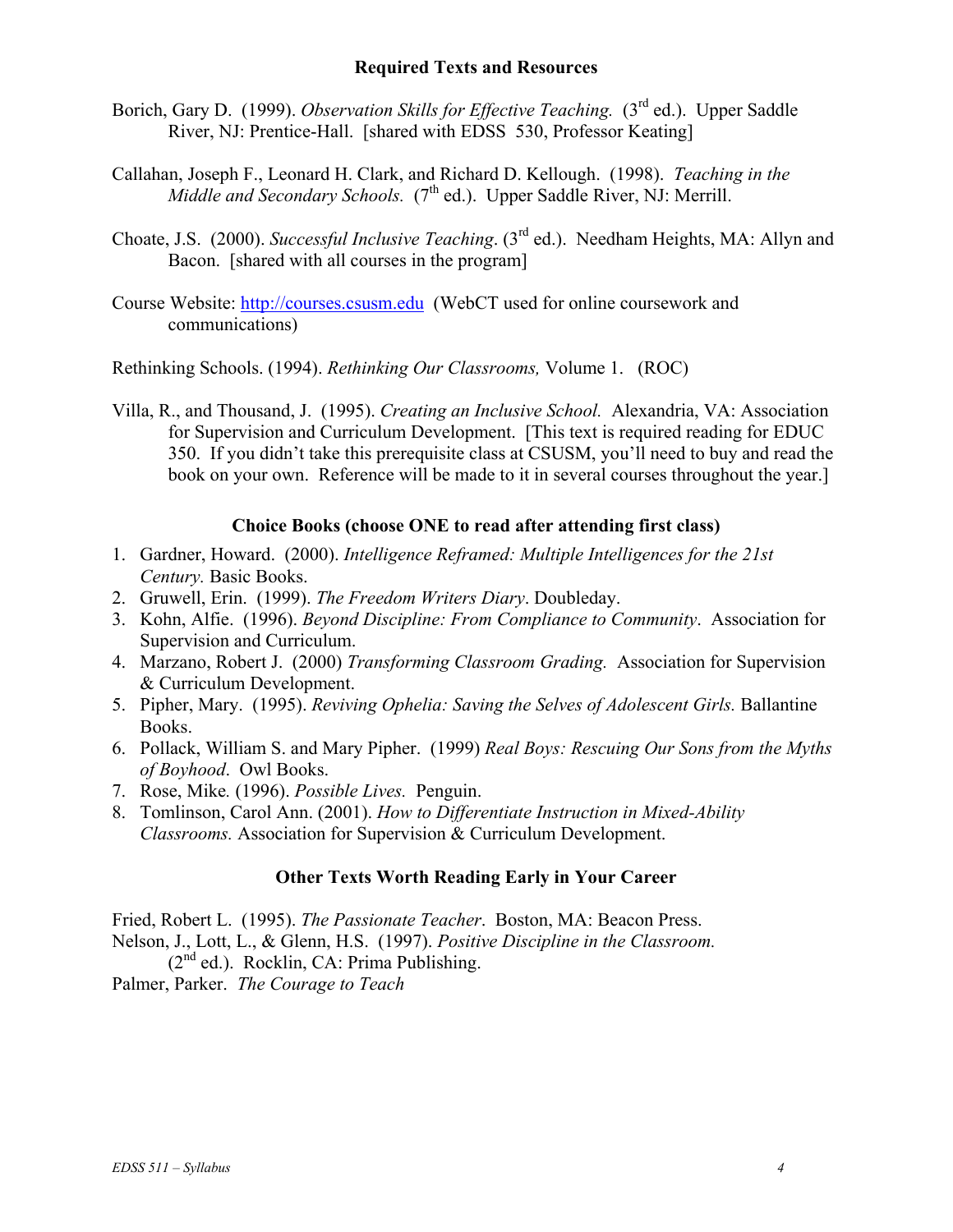#### **Required Texts and Resources**

- Borich, Gary D. (1999). *Observation Skills for Effective Teaching.* (3<sup>rd</sup> ed.). Upper Saddle River, NJ: Prentice-Hall. [shared with EDSS 530, Professor Keating]
- Callahan, Joseph F., Leonard H. Clark, and Richard D. Kellough. (1998). *Teaching in the Middle and Secondary Schools.* (7<sup>th</sup> ed.). Upper Saddle River, NJ: Merrill.
- Choate, J.S. (2000). *Successful Inclusive Teaching*. (3rd ed.). Needham Heights, MA: Allyn and Bacon. [shared with all courses in the program]
- Course Website: http://courses.csusm.edu (WebCT used for online coursework and communications)

Rethinking Schools. (1994). *Rethinking Our Classrooms,* Volume 1. (ROC)

Villa, R., and Thousand, J. (1995). *Creating an Inclusive School.* Alexandria, VA: Association for Supervision and Curriculum Development. [This text is required reading for EDUC 350. If you didn't take this prerequisite class at CSUSM, you'll need to buy and read the book on your own. Reference will be made to it in several courses throughout the year.]

### **Choice Books (choose ONE to read after attending first class)**

- 1. Gardner, Howard. (2000). *Intelligence Reframed: Multiple Intelligences for the 21st Century.* Basic Books.
- 2. Gruwell, Erin. (1999). *The Freedom Writers Diary*. Doubleday.
- 3. Kohn, Alfie. (1996). *Beyond Discipline: From Compliance to Community*. Association for Supervision and Curriculum.
- 4. Marzano, Robert J. (2000) *Transforming Classroom Grading.* Association for Supervision & Curriculum Development.
- 5. Pipher, Mary. (1995). *Reviving Ophelia: Saving the Selves of Adolescent Girls.* Ballantine Books.
- 6. Pollack, William S. and Mary Pipher. (1999) *Real Boys: Rescuing Our Sons from the Myths of Boyhood*. Owl Books.
- 7. Rose, Mike*.* (1996). *Possible Lives.* Penguin.
- 8. Tomlinson, Carol Ann. (2001). *How to Differentiate Instruction in Mixed-Ability Classrooms.* Association for Supervision & Curriculum Development.

## **Other Texts Worth Reading Early in Your Career**

Fried, Robert L. (1995). *The Passionate Teacher*. Boston, MA: Beacon Press. Nelson, J., Lott, L., & Glenn, H.S. (1997). *Positive Discipline in the Classroom.*  $(2^{nd}$  ed.). Rocklin, CA: Prima Publishing.

Palmer, Parker. *The Courage to Teach*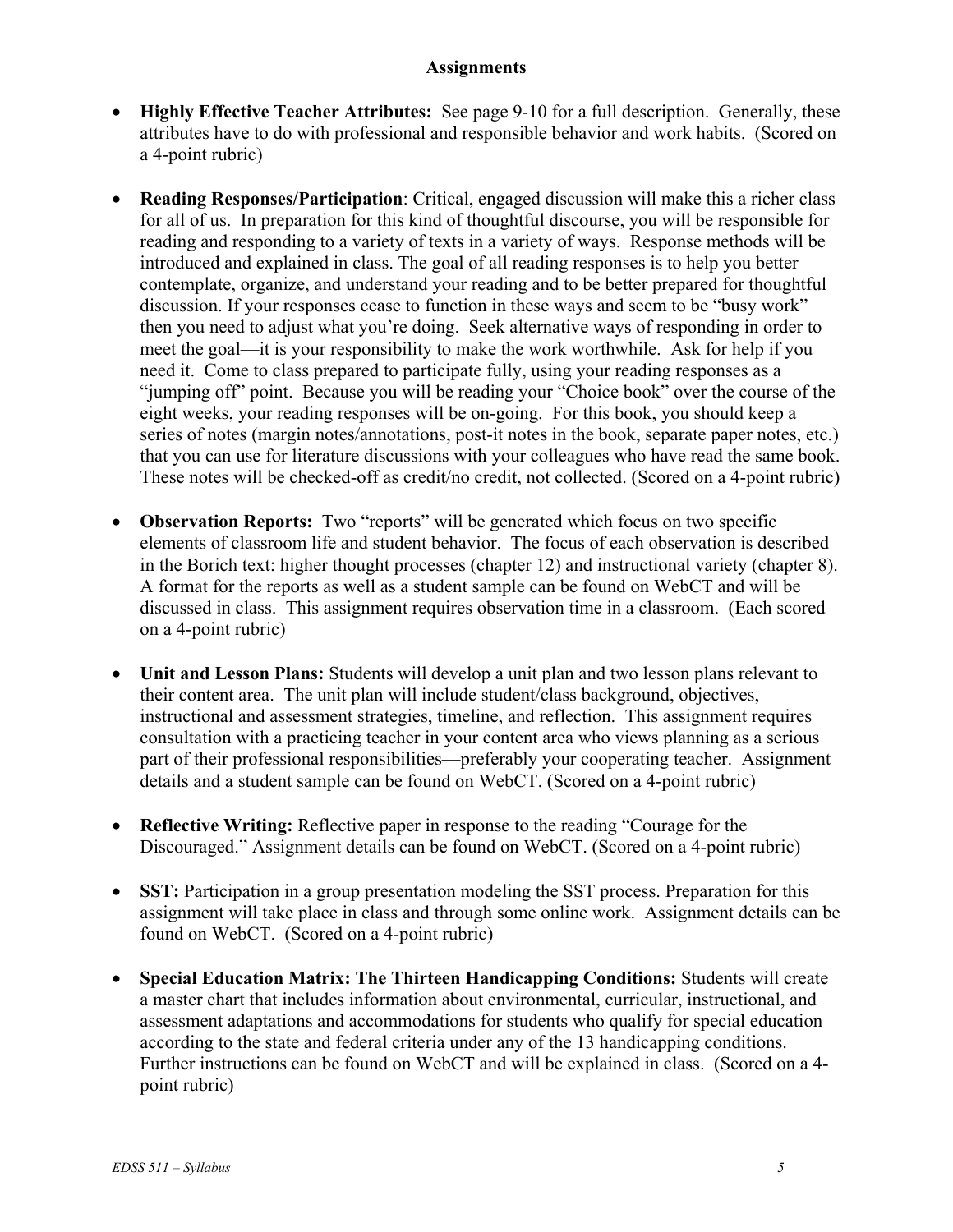### **Assignments**

- **Highly Effective Teacher Attributes:** See page 9-10 for a full description. Generally, these attributes have to do with professional and responsible behavior and work habits. (Scored on a 4-point rubric)
- **Reading Responses/Participation**: Critical, engaged discussion will make this a richer class for all of us. In preparation for this kind of thoughtful discourse, you will be responsible for reading and responding to a variety of texts in a variety of ways. Response methods will be introduced and explained in class. The goal of all reading responses is to help you better contemplate, organize, and understand your reading and to be better prepared for thoughtful discussion. If your responses cease to function in these ways and seem to be "busy work" then you need to adjust what you're doing. Seek alternative ways of responding in order to meet the goal—it is your responsibility to make the work worthwhile. Ask for help if you need it. Come to class prepared to participate fully, using your reading responses as a "jumping off" point. Because you will be reading your "Choice book" over the course of the eight weeks, your reading responses will be on-going. For this book, you should keep a series of notes (margin notes/annotations, post-it notes in the book, separate paper notes, etc.) that you can use for literature discussions with your colleagues who have read the same book. These notes will be checked-off as credit/no credit, not collected. (Scored on a 4-point rubric)
- **Observation Reports:** Two "reports" will be generated which focus on two specific elements of classroom life and student behavior. The focus of each observation is described in the Borich text: higher thought processes (chapter 12) and instructional variety (chapter 8). A format for the reports as well as a student sample can be found on WebCT and will be discussed in class. This assignment requires observation time in a classroom. (Each scored on a 4-point rubric)
- **Unit and Lesson Plans:** Students will develop a unit plan and two lesson plans relevant to their content area. The unit plan will include student/class background, objectives, instructional and assessment strategies, timeline, and reflection. This assignment requires consultation with a practicing teacher in your content area who views planning as a serious part of their professional responsibilities—preferably your cooperating teacher. Assignment details and a student sample can be found on WebCT. (Scored on a 4-point rubric)
- **Reflective Writing:** Reflective paper in response to the reading "Courage for the Discouraged." Assignment details can be found on WebCT. (Scored on a 4-point rubric)
- **SST:** Participation in a group presentation modeling the SST process. Preparation for this assignment will take place in class and through some online work. Assignment details can be found on WebCT. (Scored on a 4-point rubric)
- **Special Education Matrix: The Thirteen Handicapping Conditions:** Students will create a master chart that includes information about environmental, curricular, instructional, and assessment adaptations and accommodations for students who qualify for special education according to the state and federal criteria under any of the 13 handicapping conditions. Further instructions can be found on WebCT and will be explained in class.(Scored on a 4 point rubric)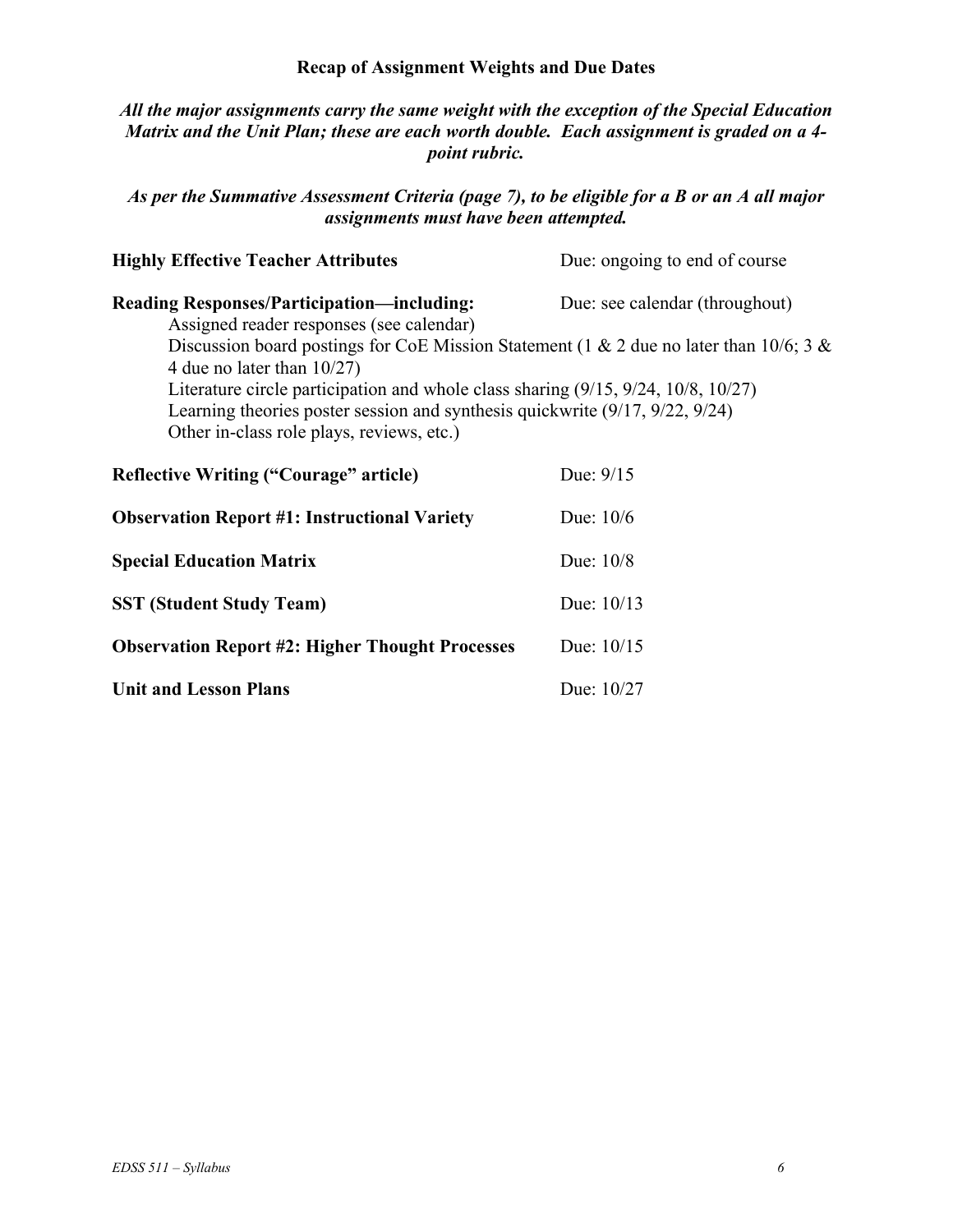### **Recap of Assignment Weights and Due Dates**

### *All the major assignments carry the same weight with the exception of the Special Education Matrix and the Unit Plan; these are each worth double. Each assignment is graded on a 4 point rubric.*

### *As per the Summative Assessment Criteria (page 7), to be eligible for a B or an A all major assignments must have been attempted.*

| <b>Highly Effective Teacher Attributes</b>                                                                                                                                                                     | Due: ongoing to end of course  |  |  |
|----------------------------------------------------------------------------------------------------------------------------------------------------------------------------------------------------------------|--------------------------------|--|--|
| <b>Reading Responses/Participation—including:</b><br>Assigned reader responses (see calendar)                                                                                                                  | Due: see calendar (throughout) |  |  |
| Discussion board postings for CoE Mission Statement (1 & 2 due no later than 10/6; 3 &<br>4 due no later than $10/27$ )                                                                                        |                                |  |  |
| Literature circle participation and whole class sharing (9/15, 9/24, 10/8, 10/27)<br>Learning theories poster session and synthesis quickwrite (9/17, 9/22, 9/24)<br>Other in-class role plays, reviews, etc.) |                                |  |  |
| <b>Reflective Writing ("Courage" article)</b>                                                                                                                                                                  | Due: $9/15$                    |  |  |
| <b>Observation Report #1: Instructional Variety</b>                                                                                                                                                            | Due: $10/6$                    |  |  |
| <b>Special Education Matrix</b>                                                                                                                                                                                | Due: 10/8                      |  |  |
| <b>SST (Student Study Team)</b>                                                                                                                                                                                | Due: $10/13$                   |  |  |
| <b>Observation Report #2: Higher Thought Processes</b>                                                                                                                                                         | Due: $10/15$                   |  |  |
| <b>Unit and Lesson Plans</b>                                                                                                                                                                                   | Due: 10/27                     |  |  |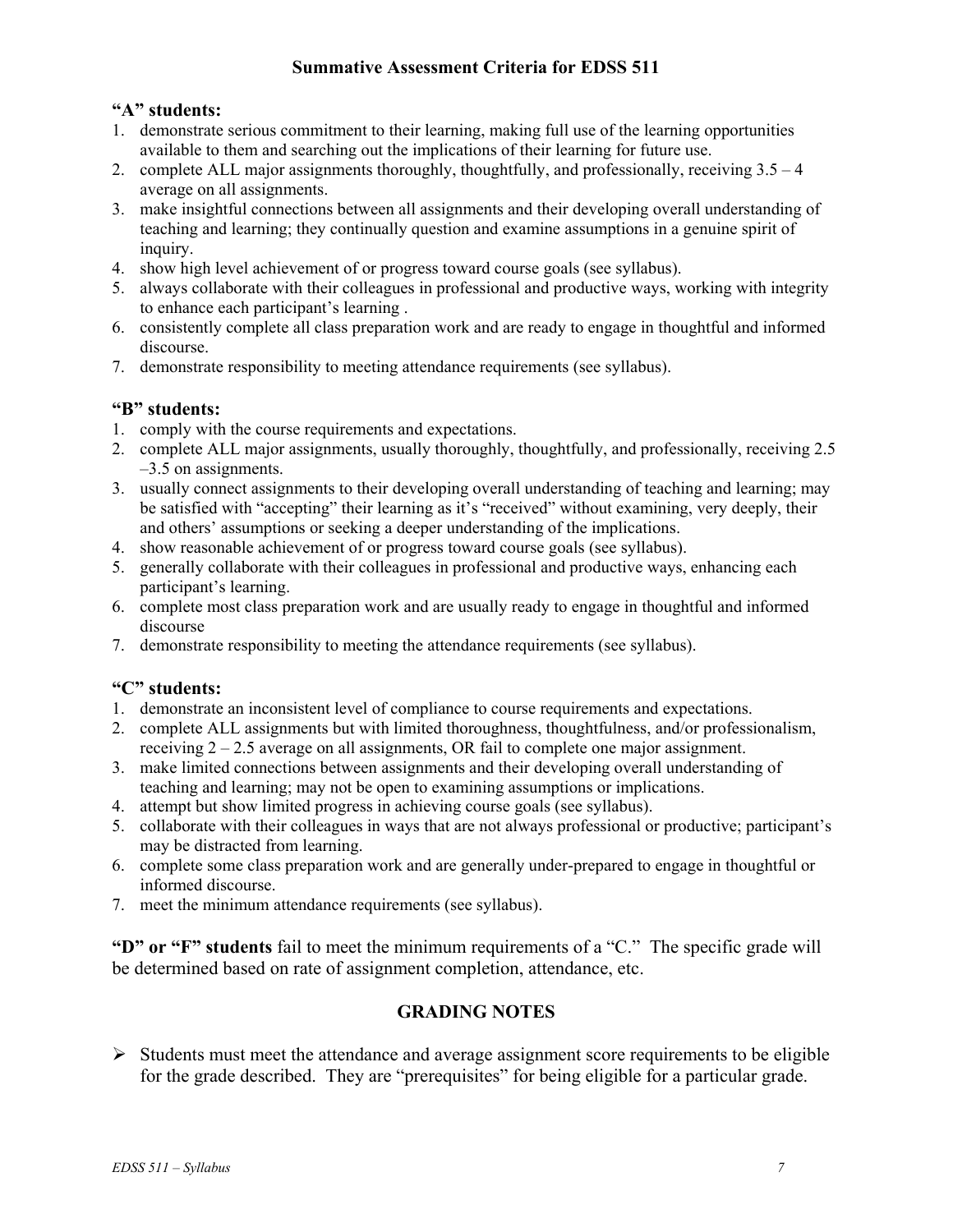### **Summative Assessment Criteria for EDSS 511**

#### **"A" students:**

- 1. demonstrate serious commitment to their learning, making full use of the learning opportunities available to them and searching out the implications of their learning for future use.
- 2. complete ALL major assignments thoroughly, thoughtfully, and professionally, receiving 3.5 4 average on all assignments.
- 3. make insightful connections between all assignments and their developing overall understanding of teaching and learning; they continually question and examine assumptions in a genuine spirit of inquiry.
- 4. show high level achievement of or progress toward course goals (see syllabus).
- 5. always collaborate with their colleagues in professional and productive ways, working with integrity to enhance each participant's learning .
- 6. consistently complete all class preparation work and are ready to engage in thoughtful and informed discourse.
- 7. demonstrate responsibility to meeting attendance requirements (see syllabus).

### **"B" students:**

- 1. comply with the course requirements and expectations.
- 2. complete ALL major assignments, usually thoroughly, thoughtfully, and professionally, receiving 2.5 –3.5 on assignments.
- 3. usually connect assignments to their developing overall understanding of teaching and learning; may be satisfied with "accepting" their learning as it's "received" without examining, very deeply, their and others' assumptions or seeking a deeper understanding of the implications.
- 4. show reasonable achievement of or progress toward course goals (see syllabus).
- 5. generally collaborate with their colleagues in professional and productive ways, enhancing each participant's learning.
- 6. complete most class preparation work and are usually ready to engage in thoughtful and informed discourse
- 7. demonstrate responsibility to meeting the attendance requirements (see syllabus).

#### **"C" students:**

- 1. demonstrate an inconsistent level of compliance to course requirements and expectations.
- 2. complete ALL assignments but with limited thoroughness, thoughtfulness, and/or professionalism, receiving  $2 - 2.5$  average on all assignments, OR fail to complete one major assignment.
- 3. make limited connections between assignments and their developing overall understanding of teaching and learning; may not be open to examining assumptions or implications.
- 4. attempt but show limited progress in achieving course goals (see syllabus).
- 5. collaborate with their colleagues in ways that are not always professional or productive; participant's may be distracted from learning.
- 6. complete some class preparation work and are generally under-prepared to engage in thoughtful or informed discourse.
- 7. meet the minimum attendance requirements (see syllabus).

**"D" or "F" students** fail to meet the minimum requirements of a "C." The specific grade will be determined based on rate of assignment completion, attendance, etc.

## **GRADING NOTES**

 $\triangleright$  Students must meet the attendance and average assignment score requirements to be eligible for the grade described. They are "prerequisites" for being eligible for a particular grade.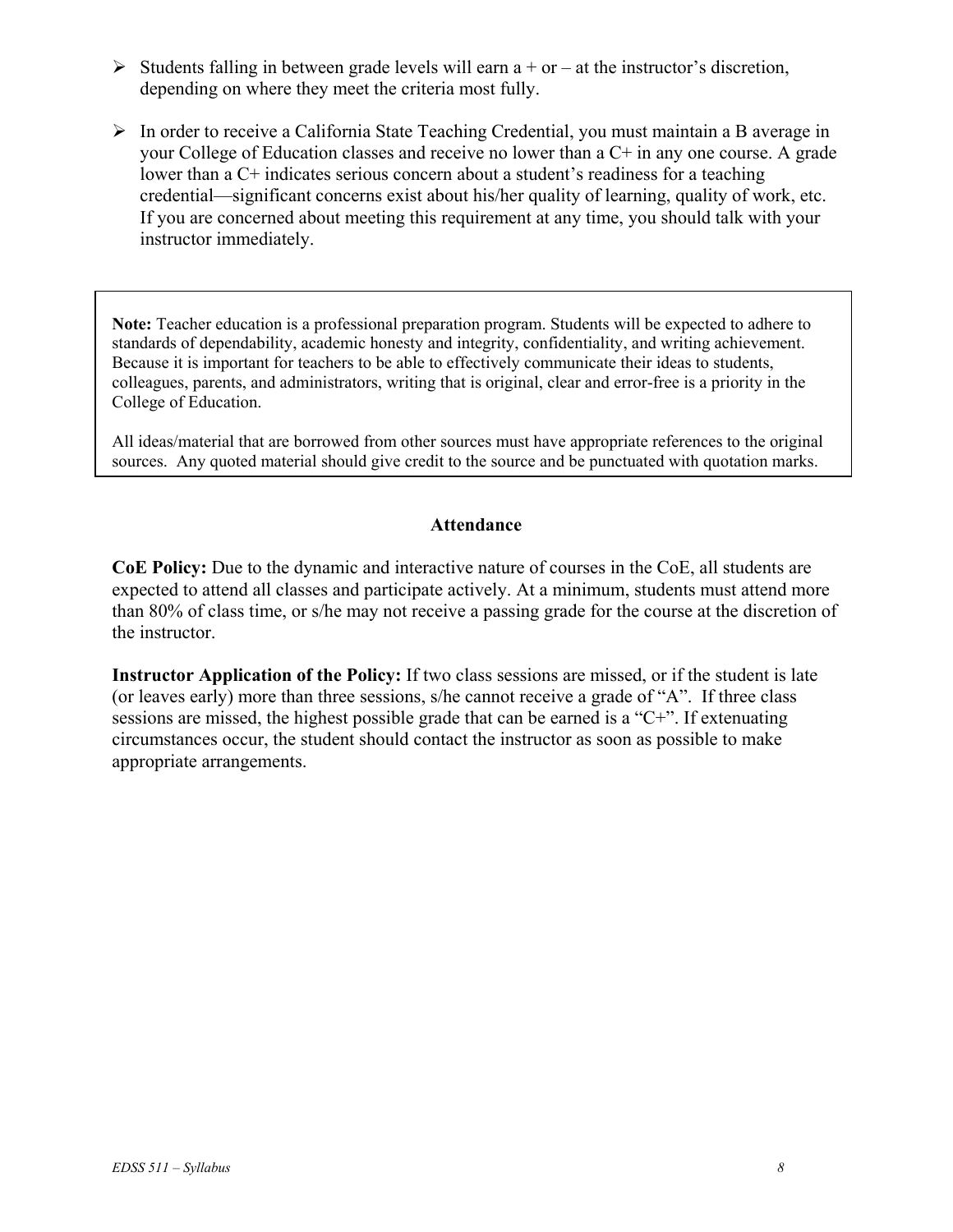- $\triangleright$  Students falling in between grade levels will earn a + or at the instructor's discretion, depending on where they meet the criteria most fully.
- $\triangleright$  In order to receive a California State Teaching Credential, you must maintain a B average in your College of Education classes and receive no lower than a C+ in any one course. A grade lower than a C+ indicates serious concern about a student's readiness for a teaching credential—significant concerns exist about his/her quality of learning, quality of work, etc. If you are concerned about meeting this requirement at any time, you should talk with your instructor immediately.

**Note:** Teacher education is a professional preparation program. Students will be expected to adhere to standards of dependability, academic honesty and integrity, confidentiality, and writing achievement. Because it is important for teachers to be able to effectively communicate their ideas to students, colleagues, parents, and administrators, writing that is original, clear and error-free is a priority in the College of Education.

All ideas/material that are borrowed from other sources must have appropriate references to the original sources. Any quoted material should give credit to the source and be punctuated with quotation marks.

#### **Attendance**

**CoE Policy:** Due to the dynamic and interactive nature of courses in the CoE, all students are expected to attend all classes and participate actively. At a minimum, students must attend more than 80% of class time, or s/he may not receive a passing grade for the course at the discretion of the instructor.

**Instructor Application of the Policy:** If two class sessions are missed, or if the student is late (or leaves early) more than three sessions, s/he cannot receive a grade of "A". If three class sessions are missed, the highest possible grade that can be earned is a "C+". If extenuating circumstances occur, the student should contact the instructor as soon as possible to make appropriate arrangements.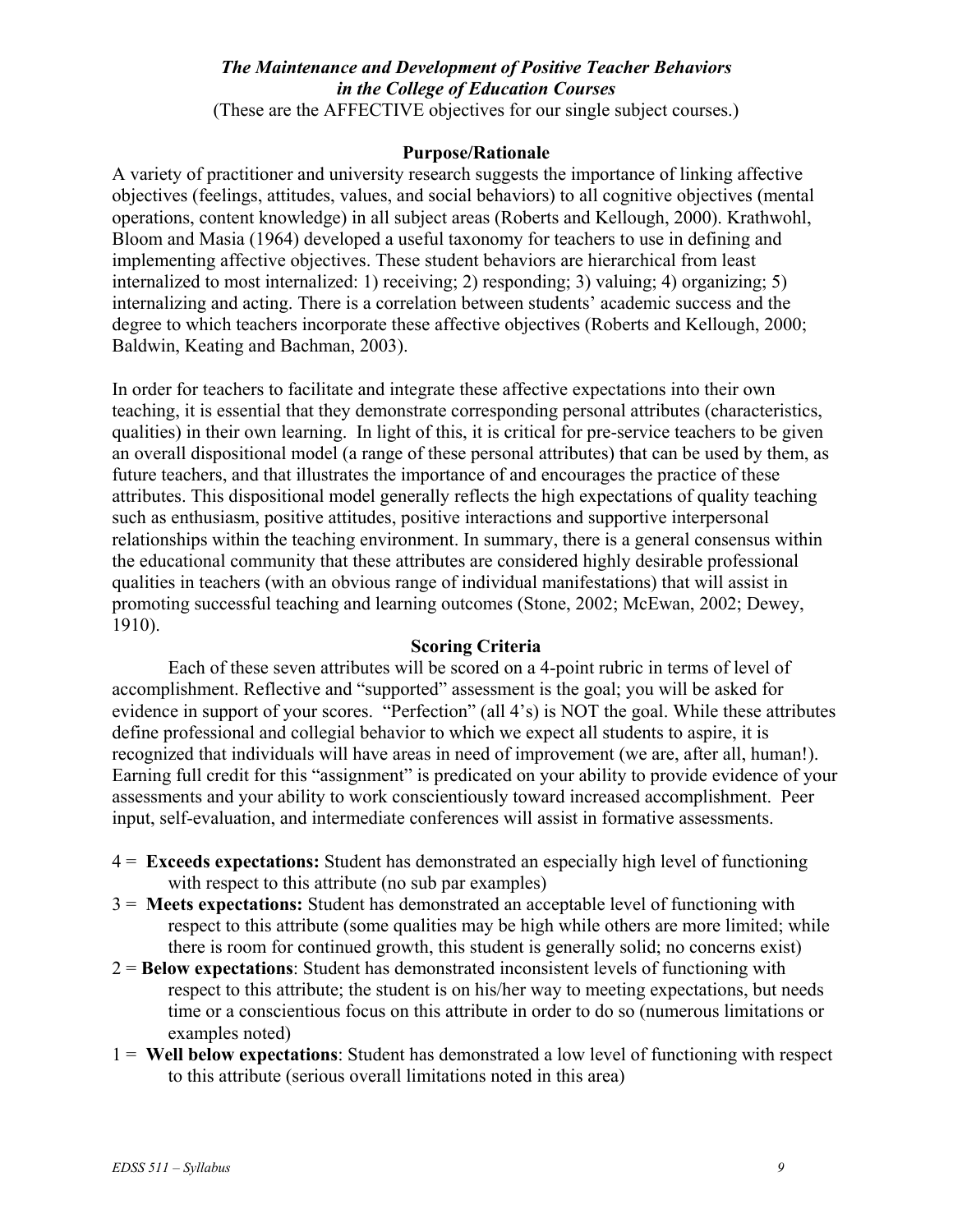#### *The Maintenance and Development of Positive Teacher Behaviors in the College of Education Courses*  (These are the AFFECTIVE objectives for our single subject courses.)

#### **Purpose/Rationale**

A variety of practitioner and university research suggests the importance of linking affective objectives (feelings, attitudes, values, and social behaviors) to all cognitive objectives (mental operations, content knowledge) in all subject areas (Roberts and Kellough, 2000). Krathwohl, Bloom and Masia (1964) developed a useful taxonomy for teachers to use in defining and implementing affective objectives. These student behaviors are hierarchical from least internalized to most internalized: 1) receiving; 2) responding; 3) valuing; 4) organizing; 5) internalizing and acting. There is a correlation between students' academic success and the degree to which teachers incorporate these affective objectives (Roberts and Kellough, 2000; Baldwin, Keating and Bachman, 2003).

In order for teachers to facilitate and integrate these affective expectations into their own teaching, it is essential that they demonstrate corresponding personal attributes (characteristics, qualities) in their own learning. In light of this, it is critical for pre-service teachers to be given an overall dispositional model (a range of these personal attributes) that can be used by them, as future teachers, and that illustrates the importance of and encourages the practice of these attributes. This dispositional model generally reflects the high expectations of quality teaching such as enthusiasm, positive attitudes, positive interactions and supportive interpersonal relationships within the teaching environment. In summary, there is a general consensus within the educational community that these attributes are considered highly desirable professional qualities in teachers (with an obvious range of individual manifestations) that will assist in promoting successful teaching and learning outcomes (Stone, 2002; McEwan, 2002; Dewey, 1910).

#### **Scoring Criteria**

Each of these seven attributes will be scored on a 4-point rubric in terms of level of accomplishment. Reflective and "supported" assessment is the goal; you will be asked for evidence in support of your scores. "Perfection" (all 4's) is NOT the goal. While these attributes define professional and collegial behavior to which we expect all students to aspire, it is recognized that individuals will have areas in need of improvement (we are, after all, human!). Earning full credit for this "assignment" is predicated on your ability to provide evidence of your assessments and your ability to work conscientiously toward increased accomplishment. Peer input, self-evaluation, and intermediate conferences will assist in formative assessments.

- 4 = **Exceeds expectations:** Student has demonstrated an especially high level of functioning with respect to this attribute (no sub par examples)
- 3 = **Meets expectations:** Student has demonstrated an acceptable level of functioning with respect to this attribute (some qualities may be high while others are more limited; while there is room for continued growth, this student is generally solid; no concerns exist)
- 2 = **Below expectations**: Student has demonstrated inconsistent levels of functioning with respect to this attribute; the student is on his/her way to meeting expectations, but needs time or a conscientious focus on this attribute in order to do so (numerous limitations or examples noted)
- 1 = **Well below expectations**: Student has demonstrated a low level of functioning with respect to this attribute (serious overall limitations noted in this area)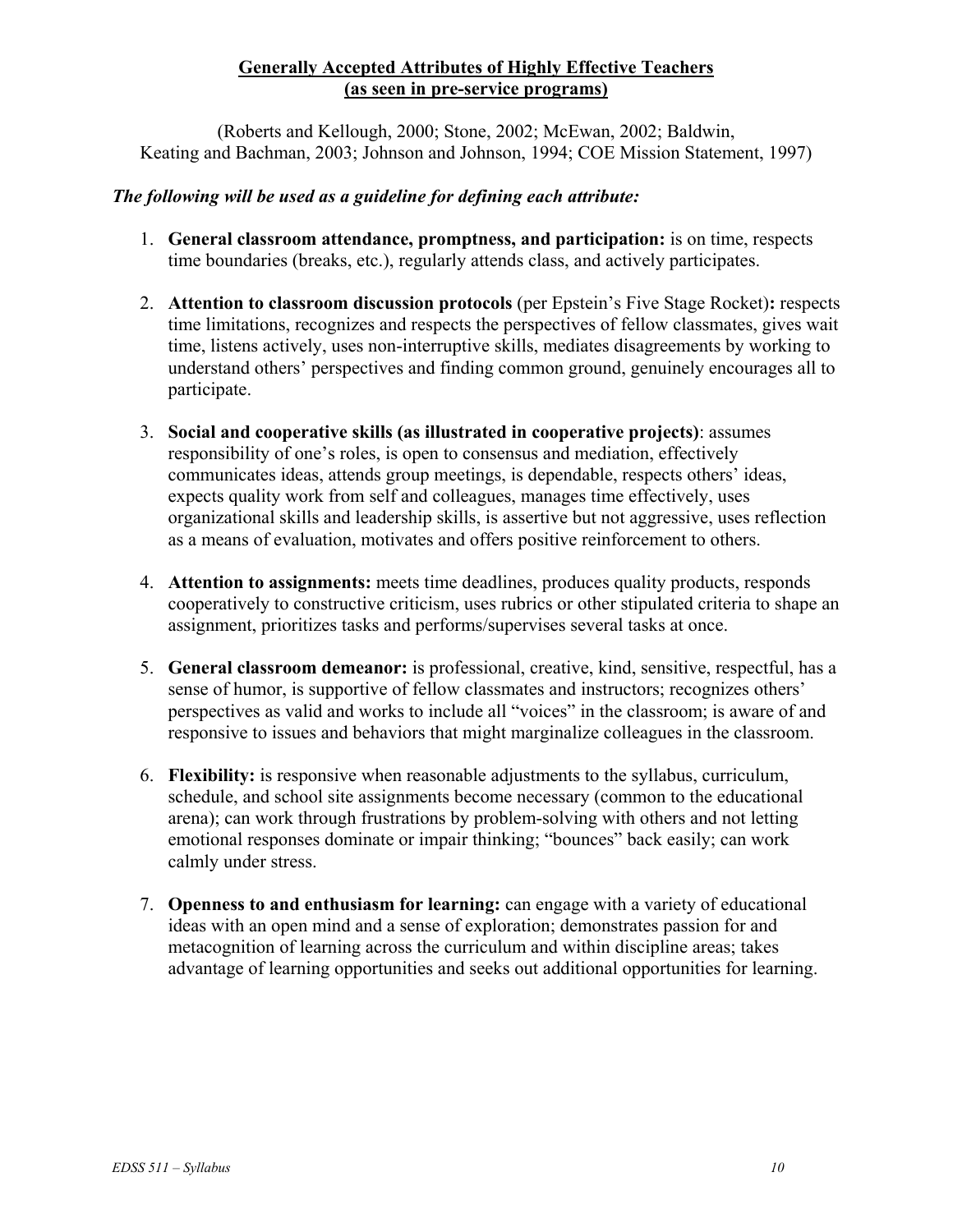## **Generally Accepted Attributes of Highly Effective Teachers (as seen in pre-service programs)**

(Roberts and Kellough, 2000; Stone, 2002; McEwan, 2002; Baldwin, Keating and Bachman, 2003; Johnson and Johnson, 1994; COE Mission Statement, 1997)

### *The following will be used as a guideline for defining each attribute:*

- 1. **General classroom attendance, promptness, and participation:** is on time, respects time boundaries (breaks, etc.), regularly attends class, and actively participates.
- 2. **Attention to classroom discussion protocols** (per Epstein's Five Stage Rocket)**:** respects time limitations, recognizes and respects the perspectives of fellow classmates, gives wait time, listens actively, uses non-interruptive skills, mediates disagreements by working to understand others' perspectives and finding common ground, genuinely encourages all to participate.
- 3. **Social and cooperative skills (as illustrated in cooperative projects)**: assumes responsibility of one's roles, is open to consensus and mediation, effectively communicates ideas, attends group meetings, is dependable, respects others' ideas, expects quality work from self and colleagues, manages time effectively, uses organizational skills and leadership skills, is assertive but not aggressive, uses reflection as a means of evaluation, motivates and offers positive reinforcement to others.
- 4. **Attention to assignments:** meets time deadlines, produces quality products, responds cooperatively to constructive criticism, uses rubrics or other stipulated criteria to shape an assignment, prioritizes tasks and performs/supervises several tasks at once.
- 5. **General classroom demeanor:** is professional, creative, kind, sensitive, respectful, has a sense of humor, is supportive of fellow classmates and instructors; recognizes others' perspectives as valid and works to include all "voices" in the classroom; is aware of and responsive to issues and behaviors that might marginalize colleagues in the classroom.
- 6. **Flexibility:** is responsive when reasonable adjustments to the syllabus, curriculum, schedule, and school site assignments become necessary (common to the educational arena); can work through frustrations by problem-solving with others and not letting emotional responses dominate or impair thinking; "bounces" back easily; can work calmly under stress.
- 7. **Openness to and enthusiasm for learning:** can engage with a variety of educational ideas with an open mind and a sense of exploration; demonstrates passion for and metacognition of learning across the curriculum and within discipline areas; takes advantage of learning opportunities and seeks out additional opportunities for learning.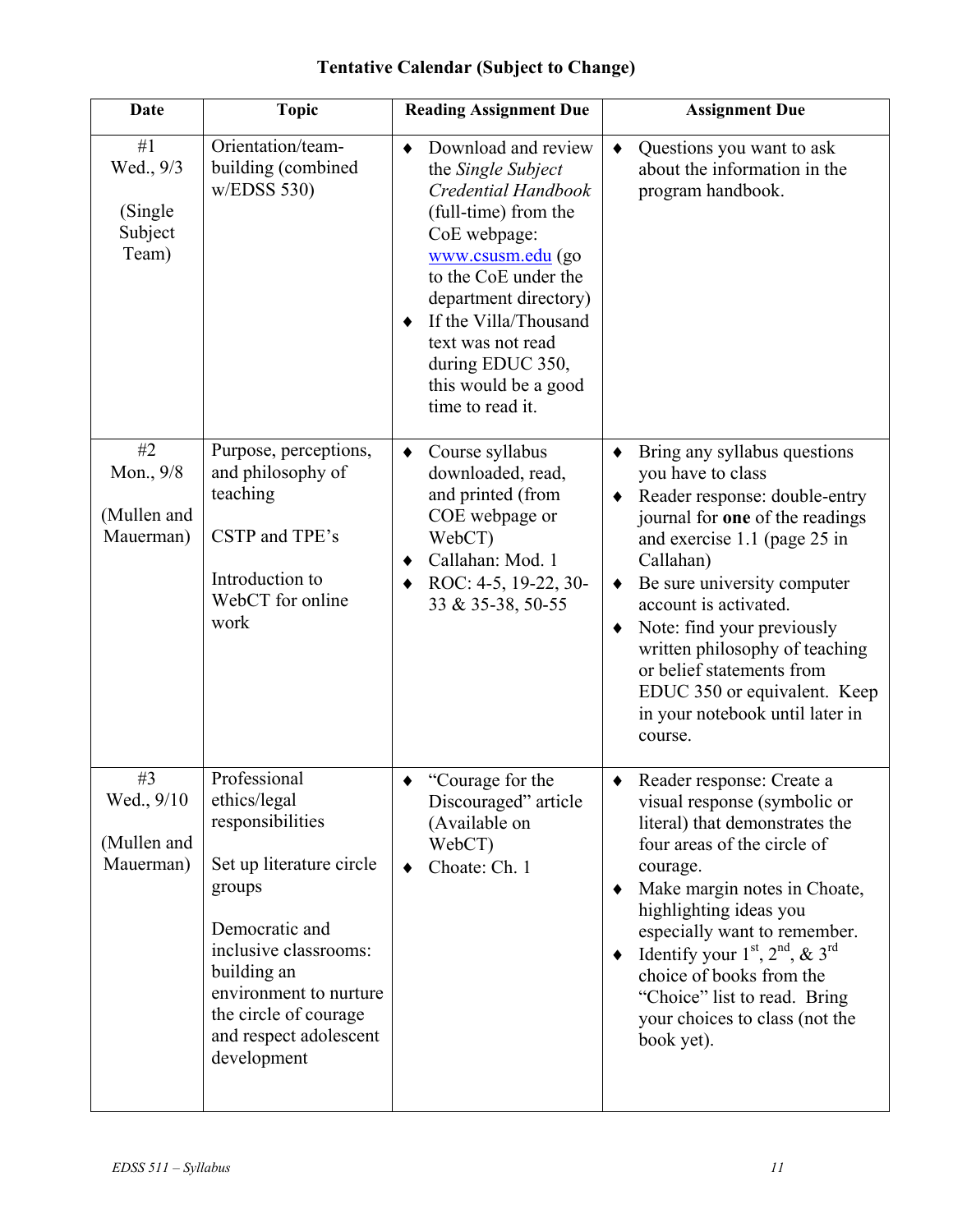| <b>Date</b>                                    | <b>Topic</b>                                                                                                                                                                                                                                 | <b>Reading Assignment Due</b>                                                                                                                                                                                                                                                                     | <b>Assignment Due</b>                                                                                                                                                                                                                                                                                                                                                                                                              |  |
|------------------------------------------------|----------------------------------------------------------------------------------------------------------------------------------------------------------------------------------------------------------------------------------------------|---------------------------------------------------------------------------------------------------------------------------------------------------------------------------------------------------------------------------------------------------------------------------------------------------|------------------------------------------------------------------------------------------------------------------------------------------------------------------------------------------------------------------------------------------------------------------------------------------------------------------------------------------------------------------------------------------------------------------------------------|--|
| #1<br>Wed., 9/3<br>(Single<br>Subject<br>Team) | Orientation/team-<br>building (combined<br>w/EDSS 530                                                                                                                                                                                        | Download and review<br>٠<br>the Single Subject<br>Credential Handbook<br>(full-time) from the<br>CoE webpage:<br>www.csusm.edu (go<br>to the CoE under the<br>department directory)<br>If the Villa/Thousand<br>text was not read<br>during EDUC 350,<br>this would be a good<br>time to read it. | Questions you want to ask<br>$\bullet$<br>about the information in the<br>program handbook.                                                                                                                                                                                                                                                                                                                                        |  |
| #2<br>Mon., 9/8<br>(Mullen and<br>Mauerman)    | Purpose, perceptions,<br>and philosophy of<br>teaching<br>CSTP and TPE's<br>Introduction to<br>WebCT for online<br>work                                                                                                                      | Course syllabus<br>$\bullet$<br>downloaded, read,<br>and printed (from<br>COE webpage or<br>WebCT)<br>Callahan: Mod. 1<br>ROC: 4-5, 19-22, 30-<br>33 & 35-38, 50-55                                                                                                                               | Bring any syllabus questions<br>٠<br>you have to class<br>Reader response: double-entry<br>$\blacklozenge$<br>journal for one of the readings<br>and exercise 1.1 (page 25 in<br>Callahan)<br>Be sure university computer<br>account is activated.<br>Note: find your previously<br>٠<br>written philosophy of teaching<br>or belief statements from<br>EDUC 350 or equivalent. Keep<br>in your notebook until later in<br>course. |  |
| #3<br>Wed., 9/10<br>(Mullen and<br>Mauerman)   | Professional<br>ethics/legal<br>responsibilities<br>Set up literature circle<br>groups<br>Democratic and<br>inclusive classrooms:<br>building an<br>environment to nurture<br>the circle of courage<br>and respect adolescent<br>development | "Courage for the<br>Discouraged" article<br>(Available on<br>WebCT)<br>Choate: Ch. 1                                                                                                                                                                                                              | Reader response: Create a<br>visual response (symbolic or<br>literal) that demonstrates the<br>four areas of the circle of<br>courage.<br>Make margin notes in Choate,<br>٠<br>highlighting ideas you<br>especially want to remember.<br>Identify your $1st$ , $2nd$ , & $3rd$<br>٠<br>choice of books from the<br>"Choice" list to read. Bring<br>your choices to class (not the<br>book yet).                                    |  |

# **Tentative Calendar (Subject to Change)**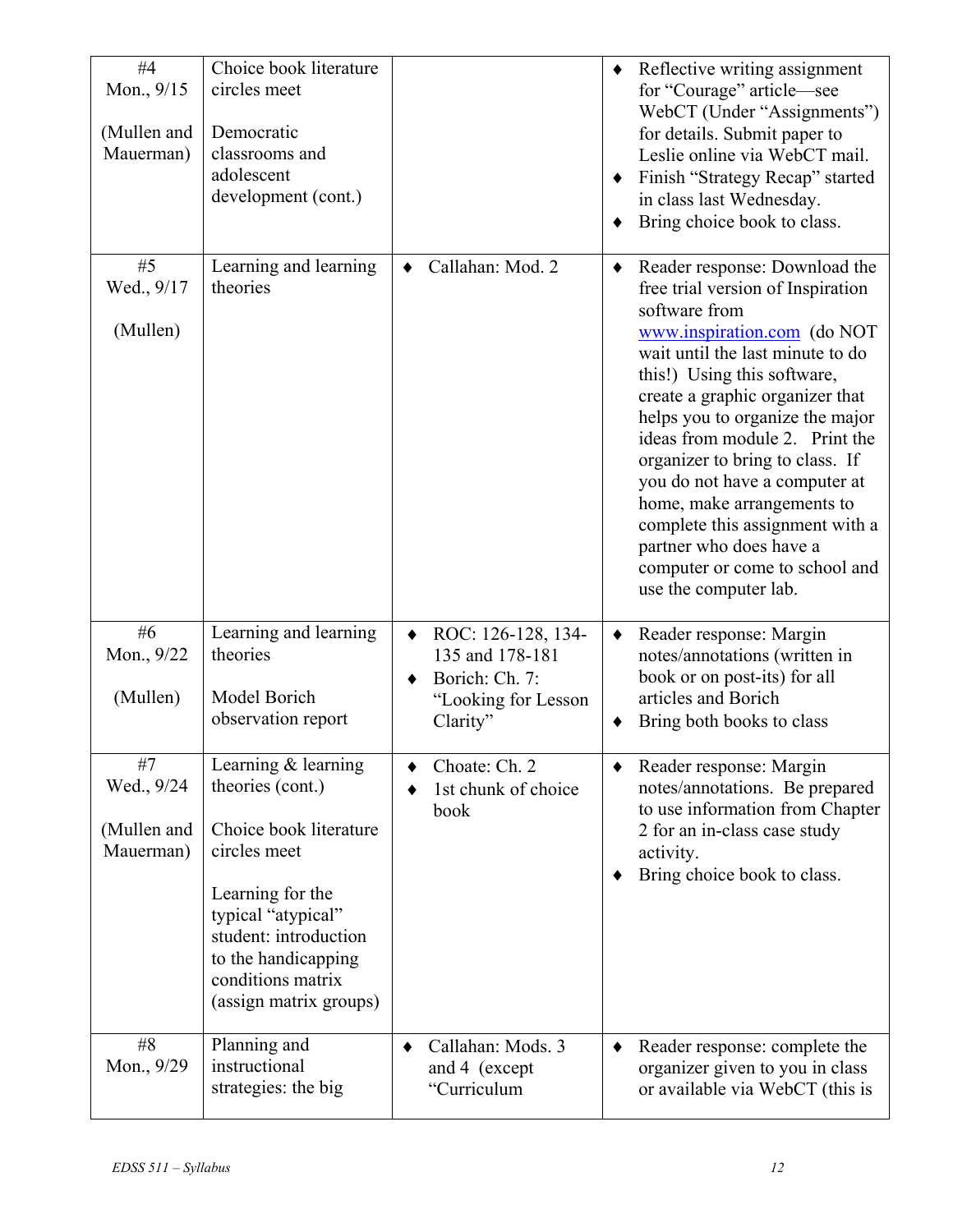| #4<br>Mon., 9/15<br>(Mullen and<br>Mauerman) | Choice book literature<br>circles meet<br>Democratic<br>classrooms and<br>adolescent<br>development (cont.)                                                                                                                  |                                                                                            | $\blacklozenge$ | Reflective writing assignment<br>for "Courage" article—see<br>WebCT (Under "Assignments")<br>for details. Submit paper to<br>Leslie online via WebCT mail.<br>Finish "Strategy Recap" started<br>in class last Wednesday.<br>Bring choice book to class.                                                                                                                                                                                                                                                                 |
|----------------------------------------------|------------------------------------------------------------------------------------------------------------------------------------------------------------------------------------------------------------------------------|--------------------------------------------------------------------------------------------|-----------------|--------------------------------------------------------------------------------------------------------------------------------------------------------------------------------------------------------------------------------------------------------------------------------------------------------------------------------------------------------------------------------------------------------------------------------------------------------------------------------------------------------------------------|
| #5<br>Wed., 9/17<br>(Mullen)                 | Learning and learning<br>theories                                                                                                                                                                                            | Callahan: Mod. 2                                                                           | ٠               | Reader response: Download the<br>free trial version of Inspiration<br>software from<br>www.inspiration.com (do NOT<br>wait until the last minute to do<br>this!) Using this software,<br>create a graphic organizer that<br>helps you to organize the major<br>ideas from module 2. Print the<br>organizer to bring to class. If<br>you do not have a computer at<br>home, make arrangements to<br>complete this assignment with a<br>partner who does have a<br>computer or come to school and<br>use the computer lab. |
| #6<br>Mon., 9/22<br>(Mullen)                 | Learning and learning<br>theories<br>Model Borich<br>observation report                                                                                                                                                      | ROC: 126-128, 134-<br>135 and 178-181<br>Borich: Ch. 7:<br>"Looking for Lesson<br>Clarity" | ٠               | Reader response: Margin<br>notes/annotations (written in<br>book or on post-its) for all<br>articles and Borich<br>Bring both books to class                                                                                                                                                                                                                                                                                                                                                                             |
| #7<br>Wed., 9/24<br>(Mullen and<br>Mauerman) | Learning $&$ learning<br>theories (cont.)<br>Choice book literature<br>circles meet<br>Learning for the<br>typical "atypical"<br>student: introduction<br>to the handicapping<br>conditions matrix<br>(assign matrix groups) | Choate: Ch. 2<br>1st chunk of choice<br>book                                               |                 | Reader response: Margin<br>notes/annotations. Be prepared<br>to use information from Chapter<br>2 for an in-class case study<br>activity.<br>Bring choice book to class.                                                                                                                                                                                                                                                                                                                                                 |
| #8<br>Mon., 9/29                             | Planning and<br>instructional<br>strategies: the big                                                                                                                                                                         | Callahan: Mods. 3<br>and 4 (except<br>"Curriculum                                          |                 | Reader response: complete the<br>organizer given to you in class<br>or available via WebCT (this is                                                                                                                                                                                                                                                                                                                                                                                                                      |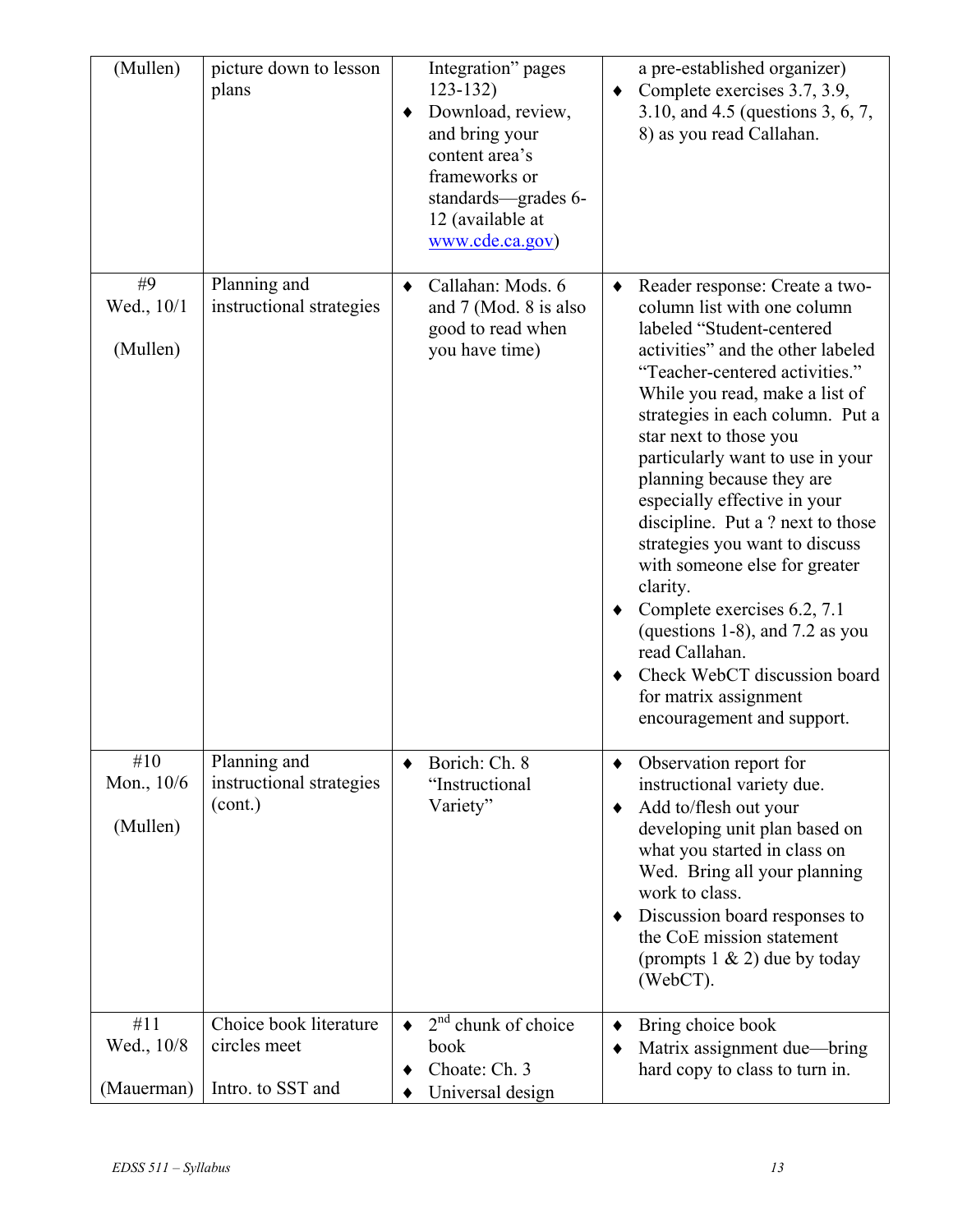| (Mullen)                        | picture down to lesson<br>plans                             | Integration" pages<br>$123 - 132$<br>Download, review,<br>and bring your<br>content area's<br>frameworks or<br>standards-grades 6-<br>12 (available at<br>www.cde.ca.gov) |        | a pre-established organizer)<br>Complete exercises 3.7, 3.9,<br>3.10, and 4.5 (questions 3, 6, 7,<br>8) as you read Callahan.                                                                                                                                                                                                                                                                                                                                                                                                                                                                                                                                       |
|---------------------------------|-------------------------------------------------------------|---------------------------------------------------------------------------------------------------------------------------------------------------------------------------|--------|---------------------------------------------------------------------------------------------------------------------------------------------------------------------------------------------------------------------------------------------------------------------------------------------------------------------------------------------------------------------------------------------------------------------------------------------------------------------------------------------------------------------------------------------------------------------------------------------------------------------------------------------------------------------|
| #9<br>Wed., 10/1<br>(Mullen)    | Planning and<br>instructional strategies                    | Callahan: Mods. 6<br>and 7 (Mod. 8 is also<br>good to read when<br>you have time)                                                                                         | ٠      | Reader response: Create a two-<br>column list with one column<br>labeled "Student-centered<br>activities" and the other labeled<br>"Teacher-centered activities."<br>While you read, make a list of<br>strategies in each column. Put a<br>star next to those you<br>particularly want to use in your<br>planning because they are<br>especially effective in your<br>discipline. Put a ? next to those<br>strategies you want to discuss<br>with someone else for greater<br>clarity.<br>• Complete exercises 6.2, 7.1<br>(questions 1-8), and 7.2 as you<br>read Callahan.<br>Check WebCT discussion board<br>for matrix assignment<br>encouragement and support. |
| #10<br>Mon., 10/6<br>(Mullen)   | Planning and<br>instructional strategies<br>(cont.)         | Borich: Ch. 8<br>"Instructional<br>Variety"                                                                                                                               | ٠<br>٠ | Observation report for<br>instructional variety due.<br>Add to/flesh out your<br>developing unit plan based on<br>what you started in class on<br>Wed. Bring all your planning<br>work to class.<br>Discussion board responses to<br>the CoE mission statement<br>(prompts $1 \& 2$ ) due by today<br>(WebCT).                                                                                                                                                                                                                                                                                                                                                      |
| #11<br>Wed., 10/8<br>(Mauerman) | Choice book literature<br>circles meet<br>Intro. to SST and | $2nd$ chunk of choice<br>book<br>Choate: Ch. 3<br>Universal design                                                                                                        | ٠      | Bring choice book<br>Matrix assignment due—bring<br>hard copy to class to turn in.                                                                                                                                                                                                                                                                                                                                                                                                                                                                                                                                                                                  |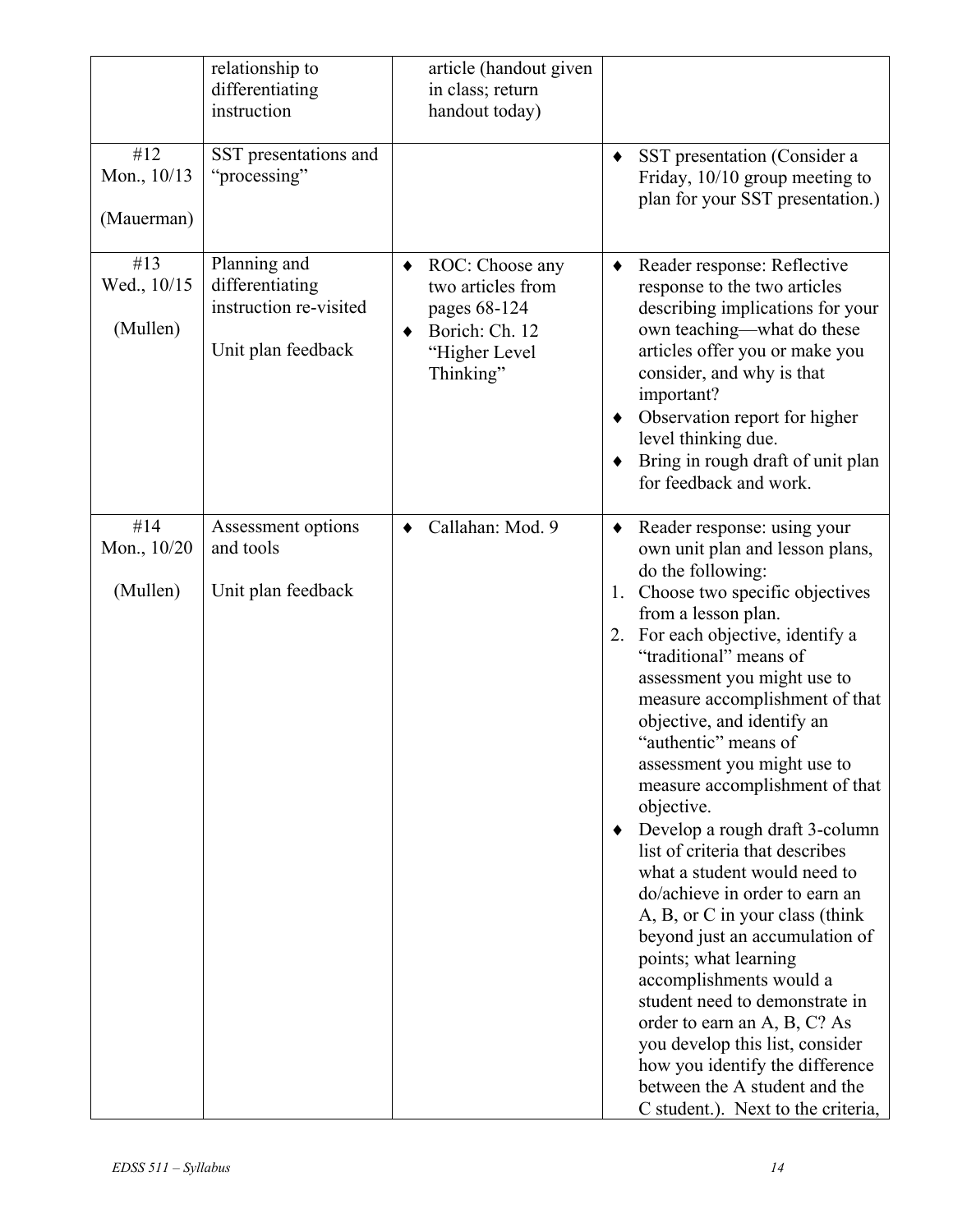|                                  | relationship to<br>differentiating<br>instruction                               | article (handout given<br>in class; return<br>handout today)                                         |                                                                                                                                                                                                                                                                                                                                                                                                                                                                                                                                                                                                                                                                                                                                                                                                                                                                                                          |
|----------------------------------|---------------------------------------------------------------------------------|------------------------------------------------------------------------------------------------------|----------------------------------------------------------------------------------------------------------------------------------------------------------------------------------------------------------------------------------------------------------------------------------------------------------------------------------------------------------------------------------------------------------------------------------------------------------------------------------------------------------------------------------------------------------------------------------------------------------------------------------------------------------------------------------------------------------------------------------------------------------------------------------------------------------------------------------------------------------------------------------------------------------|
| #12<br>Mon., 10/13<br>(Mauerman) | SST presentations and<br>"processing"                                           |                                                                                                      | SST presentation (Consider a<br>٠<br>Friday, $10/10$ group meeting to<br>plan for your SST presentation.)                                                                                                                                                                                                                                                                                                                                                                                                                                                                                                                                                                                                                                                                                                                                                                                                |
| #13<br>Wed., 10/15<br>(Mullen)   | Planning and<br>differentiating<br>instruction re-visited<br>Unit plan feedback | ROC: Choose any<br>two articles from<br>pages 68-124<br>Borich: Ch. 12<br>"Higher Level<br>Thinking" | Reader response: Reflective<br>٠<br>response to the two articles<br>describing implications for your<br>own teaching—what do these<br>articles offer you or make you<br>consider, and why is that<br>important?<br>Observation report for higher<br>٠<br>level thinking due.<br>Bring in rough draft of unit plan<br>٠<br>for feedback and work.                                                                                                                                                                                                                                                                                                                                                                                                                                                                                                                                                         |
| #14<br>Mon., 10/20<br>(Mullen)   | Assessment options<br>and tools<br>Unit plan feedback                           | Callahan: Mod. 9                                                                                     | Reader response: using your<br>٠<br>own unit plan and lesson plans,<br>do the following:<br>1. Choose two specific objectives<br>from a lesson plan.<br>2. For each objective, identify a<br>"traditional" means of<br>assessment you might use to<br>measure accomplishment of that<br>objective, and identify an<br>"authentic" means of<br>assessment you might use to<br>measure accomplishment of that<br>objective.<br>Develop a rough draft 3-column<br>list of criteria that describes<br>what a student would need to<br>do/achieve in order to earn an<br>A, B, or C in your class (think<br>beyond just an accumulation of<br>points; what learning<br>accomplishments would a<br>student need to demonstrate in<br>order to earn an A, B, C? As<br>you develop this list, consider<br>how you identify the difference<br>between the A student and the<br>C student.). Next to the criteria, |